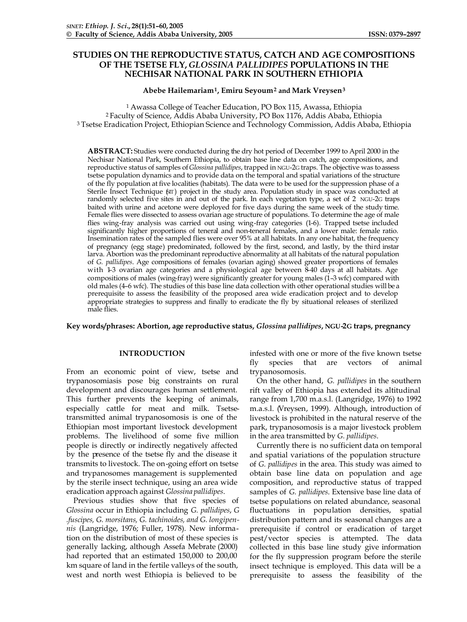# **STUDIES ON THE REPRODUCTIVE STATUS, CATCH AND AGE COMPOSITIONS OF THE TSETSE FLY,** *GLOSSINA PALLIDIPES* **POPULATIONS IN THE NECHISAR NATIONAL PARK IN SOUTHERN ETHIOPIA**

### **Abebe Hailemariam 1, Emiru Seyoum<sup>2</sup> and Mark Vreysen<sup>3</sup>**

<sup>1</sup>Awassa College of Teacher Education, PO Box 115, Awassa, Ethiopia <sup>2</sup>Faculty of Science, Addis Ababa University, PO Box 1176, Addis Ababa, Ethiopia <sup>3</sup>Tsetse Eradication Project, Ethiopian Science and Technology Commission, Addis Ababa, Ethiopia

**ABSTRACT:** Studies were conducted during the dry hot period of December 1999 to April 2000 in the Nechisar National Park, Southern Ethiopia, to obtain base line data on catch, age compositions, and reproductive status of samples of *Glossina pallidipes*, trapped in NGU-2G traps. The objective was to assess tsetse population dynamics and to provide data on the temporal and spatial variations of the structure of the fly population at five localities (habitats). The data were to be used for the suppression phase of a Sterile Insect Technique (SIT) project in the study area. Population study in space was conducted at randomly selected five sites in and out of the park. In each vegetation type, a set of 2 NGU-2G traps baited with urine and acetone were deployed for five days during the same week of the study time. Female flies were dissected to assess ovarian age structure of populations. To determine the age of male flies wing-fray analysis was carried out using wing-fray categories (1-6). Trapped tsetse included significantly higher proportions of teneral and non-teneral females, and a lower male: female ratio. Insemination rates of the sampled flies were over 95% at all habitats. In any one habitat, the frequency of pregnancy (egg stage) predominated, followed by the first, second, and lastly, by the third instar larva. Abortion was the predominant reproductive abnormality at all habitats of the natural population of *G. pallidipes*. Age compositions of females (ovarian aging) showed greater proportions of females with 1–3 ovarian age categories and a physiological age between 8–40 days at all habitats. Age compositions of males (wing-fray) were significantly greater for young males (1–3 wfc) compared with old males (4–6 wfc). The studies of this base line data collection with other operational studies will be a prerequisite to assess the feasibility of the proposed area wide eradication project and to develop appropriate strategies to suppress and finally to eradicate the fly by situational releases of sterilized male flies.

## **Key words/phrases: Abortion, age reproductive status,** *Glossina pallidipes***, NGU-2G traps, pregnancy**

## **INTRODUCTION**

From an economic point of view, tsetse and trypanosomiasis pose big constraints on rural development and discourages human settlement. This further prevents the keeping of animals, especially cattle for meat and milk. Tsetsetransmitted animal trypanosomosis is one of the Ethiopian most important livestock development problems. The livelihood of some five million people is directly or indirectly negatively affected by the presence of the tsetse fly and the disease it transmits to livestock. The on-going effort on tsetse and trypanosomes management is supplemented by the sterile insect technique, using an area wide eradication approach against *Glossina pallidipes*.

Previous studies show that five species of *Glossina* occur in Ethiopia including *G. pallidipes*, *G .fuscipes, G. morsitans, G. tachinoides, and G. longipennis* (Langridge, 1976; Fuller, 1978). New information on the distribution of most of these species is generally lacking, although Assefa Mebrate (2000) had reported that an estimated 150,000 to 200,00 km square of land in the fertile valleys of the south, west and north west Ethiopia is believed to be

infested with one or more of the five known tsetse fly species that are vectors of animal trypanosomosis.

On the other hand, *G. pallidipes* in the southern rift valley of Ethiopia has extended its altitudinal range from 1,700 m.a.s.l. (Langridge, 1976) to 1992 m.a.s.l. (Vreysen, 1999). Although, introduction of livestock is prohibited in the natural reserve of the park, trypanosomosis is a major livestock problem in the area transmitted by *G. pallidipes*.

Currently there is no sufficient data on temporal and spatial variations of the population structure of *G. pallidipes* in the area. This study was aimed to obtain base line data on population and age composition, and reproductive status of trapped samples of *G. pallidipes*. Extensive base line data of tsetse populations on related abundance, seasonal fluctuations in population densities, spatial distribution pattern and its seasonal changes are a prerequisite if control or eradication of target pest/vector species is attempted. The data collected in this base line study give information for the fly suppression program before the sterile insect technique is employed. This data will be a prerequisite to assess the feasibility of the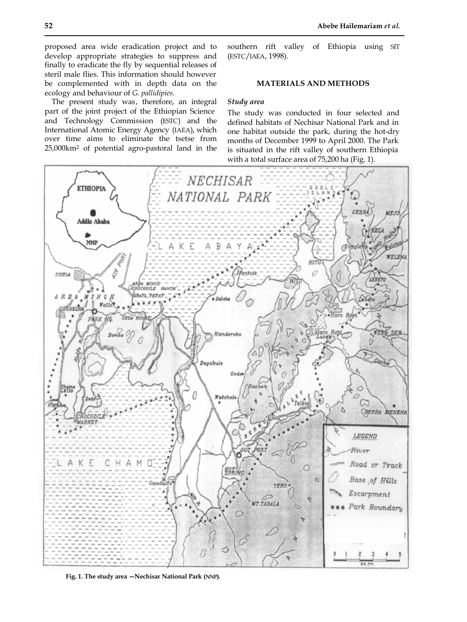The present study was, therefore, an integral part of the joint project of the Ethiopian Science and Technology Commission (ESTC) and the International Atomic Energy Agency (IAEA), which over time aims to eliminate the tsetse from 25,000km2 of potential agro-pastoral land in the southern rift valley of Ethiopia using SIT (ESTC/IAEA, 1998).

# **MATERIALS AND METHODS**

## *Study area*

The study was conducted in four selected and defined habitats of Nechisar National Park and in one habitat outside the park, during the hot-dry months of December 1999 to April 2000. The Park is situated in the rift valley of southern Ethiopia with a total surface area of 75,200 ha (Fig. 1).



**Fig. 1. The study area —Nechisar National Park (NNP).**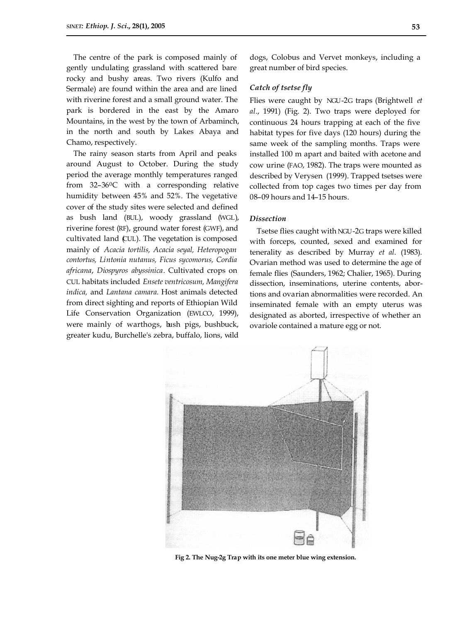The centre of the park is composed mainly of gently undulating grassland with scattered bare rocky and bushy areas. Two rivers (Kulfo and Sermale) are found within the area and are lined with riverine forest and a small ground water. The park is bordered in the east by the Amaro Mountains, in the west by the town of Arbaminch, in the north and south by Lakes Abaya and Chamo, respectively.

The rainy season starts from April and peaks around August to October. During the study period the average monthly temperatures ranged from 32–360C with a corresponding relative humidity between 45% and 52%. The vegetative cover of the study sites were selected and defined as bush land (BUL), woody grassland (WGL), riverine forest (RF), ground water forest (GWF), and cultivated land (CUL). The vegetation is composed mainly of *Acacia tortilis, Acacia seyal, Heteropogan contortus, Lintonia nutanus, Ficus sycomorus, Cordia africana*, *Diospyros abyssinica.* Cultivated crops on CUL habitats included *Ensete ventricosum, Mangifera indica,* and *Lantana camara.* Host animals detected from direct sighting and reports of Ethiopian Wild Life Conservation Organization (EWLCO, 1999), were mainly of warthogs, bush pigs, bushbuck, greater kudu, Burchelle's zebra, buffalo, lions, wild dogs, Colobus and Vervet monkeys, including a great number of bird species.

## *Catch of tsetse fly*

Flies were caught by NGU-2G traps (Brightwell *et al*., 1991) (Fig. 2). Two traps were deployed for continuous 24 hours trapping at each of the five habitat types for five days (120 hours) during the same week of the sampling months. Traps were installed 100 m apart and baited with acetone and cow urine (FAO, 1982). The traps were mounted as described by Verysen (1999). Trapped tsetses were collected from top cages two times per day from 08–09 hours and 14–15 hours.

#### *Dissection*

Tsetse flies caught with NGU-2G traps were killed with forceps, counted, sexed and examined for tenerality as described by Murray *et al*. (1983). Ovarian method was used to determine the age of female flies (Saunders, 1962; Chalier, 1965). During dissection, inseminations, uterine contents, abortions and ovarian abnormalities were recorded. An inseminated female with an empty uterus was designated as aborted, irrespective of whether an ovariole contained a mature egg or not.



 **Fig 2. The Nug-2g Trap with its one meter blue wing extension.**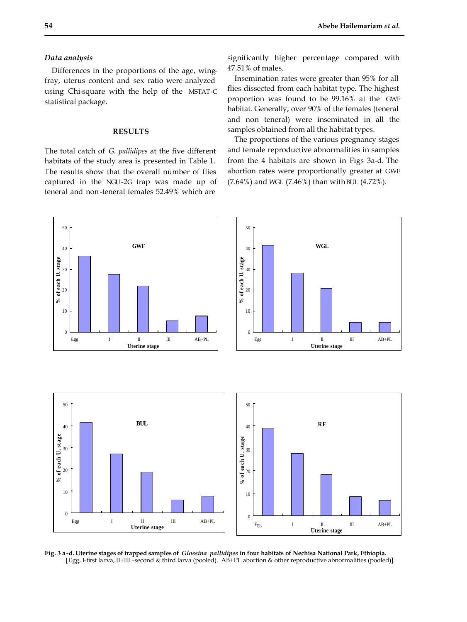## *Data analysis*

Differences in the proportions of the age, wingfray, uterus content and sex ratio were analyzed using Chi-square with the help of the MSTAT-C statistical package.

## **RESULTS**

The total catch of *G. pallidipes* at the five different habitats of the study area is presented in Table 1. The results show that the overall number of flies captured in the NGU-2G trap was made up of teneral and non-teneral females 52.49% which are

50 **GWF** 40 % of each U. stage **% of each U. stage**  $\overline{30}$ 20 10  $\theta$ Egg I II III AB+PL **Uterine stage** 

significantly higher percentage compared with 47.51% of males.

Insemination rates were greater than 95% for all flies dissected from each habitat type. The highest proportion was found to be 99.16% at the GWF habitat. Generally, over 90% of the females (teneral and non teneral) were inseminated in all the samples obtained from all the habitat types.

The proportions of the various pregnancy stages and female reproductive abnormalities in samples from the 4 habitats are shown in Figs 3a-d. The abortion rates were proportionally greater at GWF (7.64%) and WGL (7.46%) than with BUL (4.72%).





**Fig. 3 a -d. Uterine stages of trapped samples of** *Glossina pallidipes* **in four habitats of Nechisa National Park, Ethiopia. [**Egg, I-first la rva, II+III -second & third larva (pooled). AB+PL abortion & other reproductive abnormalities (pooled)].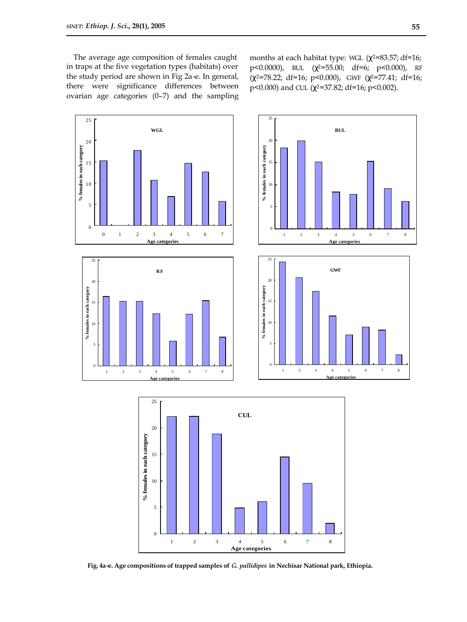The average age composition of females caught in traps at the five vegetation types (habitats) over the study period are shown in Fig 2a-e. In general, there were significance differences between ovarian age categories (0–7) and the sampling months at each habitat type: WGL  $(\chi^2=83.57; df=16;$ p<0.0000), BUL (χ2=55.00; df=6; p<0.000), RF  $(\chi^2$ =78.22; df=16; p<0.000), GWF  $(\chi^2$ =77.41; df=16; p<0.000) and CUL ( $\chi$ <sup>2=37.82; df=16; p<0.002).</sup>



**Fig. 4a-e. Age compositions of trapped samples of** *G. pallidipes* **in Nechisar National park, Ethiopia.**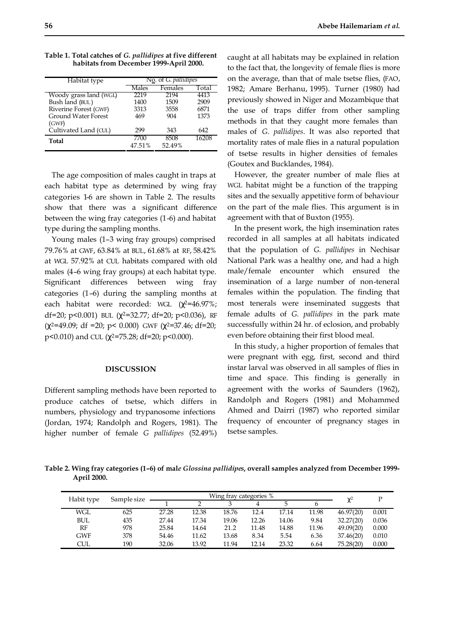| Habitat type                        | No. of G. pallidipes |                |       |  |
|-------------------------------------|----------------------|----------------|-------|--|
|                                     | Males                | Females        | Total |  |
| Woody grass land (WGL)              | 2219                 | 2194           | 4413  |  |
| Bush land (BUL)                     | 1400                 | 1509           | 2909  |  |
| Riverine Forest (GWF)               | 3313                 | 3558           | 6871  |  |
| <b>Ground Water Forest</b><br>(GWF) | 469                  | 904            | 1373  |  |
| Cultivated Land (CUL)               | 299                  | 343            | 642   |  |
| Total                               | 7700<br>47.51%       | 8508<br>52.49% | 16208 |  |
|                                     |                      |                |       |  |

**Table 1. Total catches of** *G. pallidipes* **at five different habitats from December 1999-April 2000.**

The age composition of males caught in traps at each habitat type as determined by wing fray categories 1-6 are shown in Table 2. The results show that there was a significant difference between the wing fray categories (1-6) and habitat type during the sampling months.

Young males (1–3 wing fray groups) comprised 79.76% at GWF, 63.84% at BUL, 61.68% at RF, 58.42% at WGL 57.92% at CUL habitats compared with old males (4–6 wing fray groups) at each habitat type. Significant differences between wing fray categories (1–6) during the sampling months at each habitat were recorded: WGL  $(\chi^2=46.97\%)$ ; df=20; p<0.001) BUL ( $χ$ <sup>2=32.77; df=20; p<0.036), RF</sup>  $(\chi^2=49.09; \text{ df} = 20; \text{ p} < 0.000) \text{ GWF } (\chi^2=37.46; \text{ df}=20;$ p<0.010) and CUL ( $\chi^2$ =75.28; df=20; p<0.000).

### **DISCUSSION**

Different sampling methods have been reported to produce catches of tsetse, which differs in numbers, physiology and trypanosome infections (Jordan, 1974; Randolph and Rogers, 1981). The higher number of female *G pallidipes* (52.49%) caught at all habitats may be explained in relation to the fact that, the longevity of female flies is more on the average, than that of male tsetse flies, (FAO, 1982; Amare Berhanu, 1995). Turner (1980) had previously showed in Niger and Mozambique that the use of traps differ from other sampling methods in that they caught more females than males of *G. pallidipes*. It was also reported that mortality rates of male flies in a natural population of tsetse results in higher densities of females (Goutex and Bucklandes, 1984).

However, the greater number of male flies at WGL habitat might be a function of the trapping sites and the sexually appetitive form of behaviour on the part of the male flies. This argument is in agreement with that of Buxton (1955).

In the present work, the high insemination rates recorded in all samples at all habitats indicated that the population of *G. pallidipes* in Nechisar National Park was a healthy one, and had a high male/female encounter which ensured the insemination of a large number of non-teneral females within the population. The finding that most tenerals were inseminated suggests that female adults of *G. pallidipes* in the park mate successfully within 24 hr. of eclosion, and probably even before obtaining their first blood meal.

In this study, a higher proportion of females that were pregnant with egg, first, second and third instar larval was observed in all samples of flies in time and space. This finding is generally in agreement with the works of Saunders (1962), Randolph and Rogers (1981) and Mohammed Ahmed and Dairri (1987) who reported similar frequency of encounter of pregnancy stages in tsetse samples.

**Table 2. Wing fray categories (1–6) of mal***e Glossina pallidipes***, overall samples analyzed from December 1999- April 2000.**

| Habit type | Sample size | Wing fray categories % |       |       |       |       |       |           |       |
|------------|-------------|------------------------|-------|-------|-------|-------|-------|-----------|-------|
|            |             |                        |       |       | 4     |       |       |           |       |
| WGL        | 625         | 27.28                  | 12.38 | 18.76 | 12.4  | 17.14 | 11.98 | 46.97(20) | 0.001 |
| <b>BUL</b> | 435         | 27.44                  | 17.34 | 19.06 | 12.26 | 14.06 | 9.84  | 32.27(20) | 0.036 |
| RF         | 978         | 25.84                  | 14.64 | 21.2  | 11.48 | 14.88 | 11.96 | 49.09(20) | 0.000 |
| GWF        | 378         | 54.46                  | 11.62 | 13.68 | 8.34  | 5.54  | 6.36  | 37.46(20) | 0.010 |
| CUL        | 190         | 32.06                  | 13.92 | 11.94 | 12.14 | 23.32 | 6.64  | 75.28(20) | 0.000 |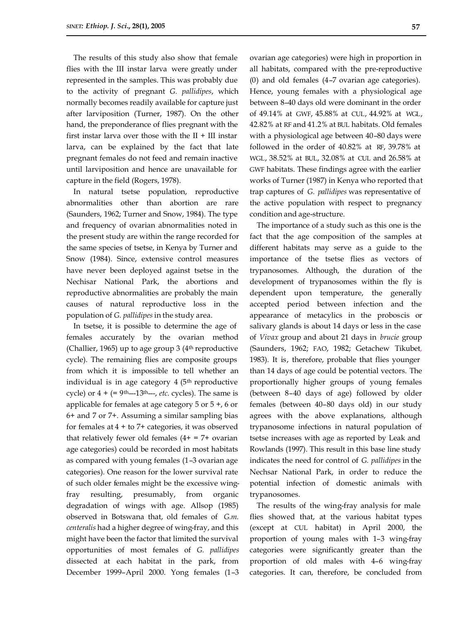The results of this study also show that female flies with the III instar larva were greatly under represented in the samples. This was probably due to the activity of pregnant *G. pallidipes*, which normally becomes readily available for capture just after larviposition (Turner, 1987). On the other hand, the preponderance of flies pregnant with the first instar larva over those with the  $II + III$  instar larva, can be explained by the fact that late pregnant females do not feed and remain inactive until larviposition and hence are unavailable for capture in the field (Rogers, 1978).

In natural tsetse population, reproductive abnormalities other than abortion are rare (Saunders, 1962; Turner and Snow, 1984). The type and frequency of ovarian abnormalities noted in the present study are within the range recorded for the same species of tsetse, in Kenya by Turner and Snow (1984). Since, extensive control measures have never been deployed against tsetse in the Nechisar National Park, the abortions and reproductive abnormalities are probably the main causes of natural reproductive loss in the population of *G. pallidipes* in the study area.

In tsetse, it is possible to determine the age of females accurately by the ovarian method (Challier, 1965) up to age group 3 (4th reproductive cycle). The remaining flies are composite groups from which it is impossible to tell whether an individual is in age category  $4 \times 5^{\text{th}}$  reproductive cycle) or  $4 + (= 9$ <sup>th</sup>---13<sup>th</sup>---, *etc*. cycles). The same is applicable for females at age category 5 or 5 +, 6 or 6+ and 7 or 7+. Assuming a similar sampling bias for females at 4 + to 7+ categories, it was observed that relatively fewer old females  $(4+ = 7+$  ovarian age categories) could be recorded in most habitats as compared with young females (1–3 ovarian age categories). One reason for the lower survival rate of such older females might be the excessive wingfray resulting, presumably, from organic degradation of wings with age. Allsop (1985) observed in Botswana that, old females of *G.m. centeralis* had a higher degree of wing-fray, and this might have been the factor that limited the survival opportunities of most females of *G. pallidipes* dissected at each habitat in the park, from December 1999–April 2000. Yong females (1–3

ovarian age categories) were high in proportion in all habitats, compared with the pre-reproductive (0) and old females (4–7 ovarian age categories). Hence, young females with a physiological age between 8–40 days old were dominant in the order of 49.14% at GWF, 45.88% at CUL, 44.92% at WGL, 42.82% at RF and 41.2% at BUL habitats. Old females with a physiological age between 40–80 days were followed in the order of 40.82% at RF, 39.78% at WGL, 38.52% at BUL, 32.08% at CUL and 26.58% at GWF habitats. These findings agree with the earlier works of Turner (1987) in Kenya who reported that trap captures of *G. pallidipes* was representative of the active population with respect to pregnancy condition and age-structure.

The importance of a study such as this one is the fact that the age composition of the samples at different habitats may serve as a guide to the importance of the tsetse flies as vectors of trypanosomes. Although, the duration of the development of trypanosomes within the fly is dependent upon temperature, the generally accepted period between infection and the appearance of metacylics in the proboscis or salivary glands is about 14 days or less in the case of *Vivax* group and about 21 days in *brucie* group (Saunders, 1962; FAO, 1982; Getachew Tikubet, 1983). It is, therefore, probable that flies younger than 14 days of age could be potential vectors. The proportionally higher groups of young females (between 8–40 days of age) followed by older females (between 40–80 days old) in our study agrees with the above explanations, although trypanosome infections in natural population of tsetse increases with age as reported by Leak and Rowlands (1997). This result in this base line study indicates the need for control of *G. pallidipes* in the Nechsar National Park, in order to reduce the potential infection of domestic animals with trypanosomes.

The results of the wing-fray analysis for male flies showed that, at the various habitat types (except at CUL habitat) in April 2000, the proportion of young males with 1–3 wing-fray categories were significantly greater than the proportion of old males with 4–6 wing-fray categories. It can, therefore, be concluded from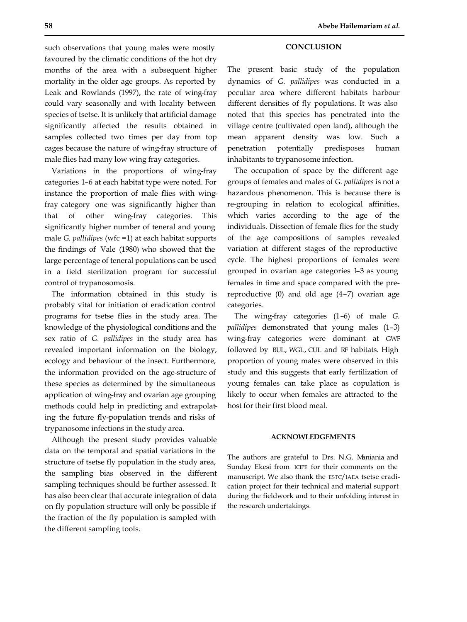such observations that young males were mostly favoured by the climatic conditions of the hot dry months of the area with a subsequent higher mortality in the older age groups. As reported by Leak and Rowlands (1997), the rate of wing-fray could vary seasonally and with locality between species of tsetse. It is unlikely that artificial damage significantly affected the results obtained in samples collected two times per day from top cages because the nature of wing-fray structure of male flies had many low wing fray categories.

Variations in the proportions of wing-fray categories 1–6 at each habitat type were noted. For instance the proportion of male flies with wingfray category one was significantly higher than that of other wing-fray categories. This significantly higher number of teneral and young male *G. pallidipes* (wfc =1) at each habitat supports the findings of Vale (1980) who showed that the large percentage of teneral populations can be used in a field sterilization program for successful control of trypanosomosis.

The information obtained in this study is probably vital for initiation of eradication control programs for tsetse flies in the study area. The knowledge of the physiological conditions and the sex ratio of *G. pallidipes* in the study area has revealed important information on the biology, ecology and behaviour of the insect. Furthermore, the information provided on the age-structure of these species as determined by the simultaneous application of wing-fray and ovarian age grouping methods could help in predicting and extrapolating the future fly-population trends and risks of trypanosome infections in the study area.

Although the present study provides valuable data on the temporal and spatial variations in the structure of tsetse fly population in the study area, the sampling bias observed in the different sampling techniques should be further assessed. It has also been clear that accurate integration of data on fly population structure will only be possible if the fraction of the fly population is sampled with the different sampling tools.

## **CONCLUSION**

The present basic study of the population dynamics of *G. pallidipes* was conducted in a peculiar area where different habitats harbour different densities of fly populations. It was also noted that this species has penetrated into the village centre (cultivated open land), although the mean apparent density was low. Such a penetration potentially predisposes human inhabitants to trypanosome infection.

The occupation of space by the different age groups of females and males of *G. pallidipes* is not a hazardous phenomenon. This is because there is re-grouping in relation to ecological affinities, which varies according to the age of the individuals. Dissection of female flies for the study of the age compositions of samples revealed variation at different stages of the reproductive cycle. The highest proportions of females were grouped in ovarian age categories 1–3 as young females in time and space compared with the prereproductive (0) and old age (4–7) ovarian age categories.

The wing-fray categories (1–6) of male *G. pallidipes* demonstrated that young males (1–3) wing-fray categories were dominant at GWF followed by BUL, WGL, CUL and RF habitats. High proportion of young males were observed in this study and this suggests that early fertilization of young females can take place as copulation is likely to occur when females are attracted to the host for their first blood meal.

#### **ACKNOWLEDGEMENTS**

The authors are grateful to Drs. N.G. Maniania and Sunday Ekesi from ICIPE for their comments on the manuscript. We also thank the ESTC/IAEA tsetse eradication project for their technical and material support during the fieldwork and to their unfolding interest in the research undertakings.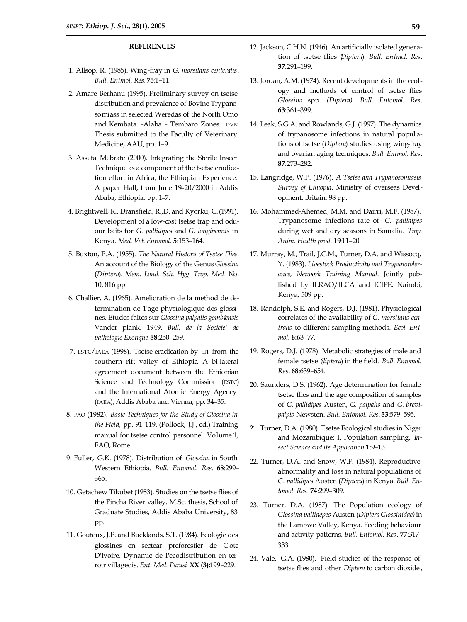## **REFERENCES**

- 1. Allsop, R. (1985). Wing-fray in *G. morsitans centeralis*. *Bull. Entmol. Res*. **75**:1–11.
- 2. Amare Berhanu (1995). Preliminary survey on tsetse distribution and prevalence of Bovine Trypanosomiass in selected Weredas of the North Omo and Kembata -Alaba - Tembaro Zones. DVM Thesis submitted to the Faculty of Veterinary Medicine, AAU, pp. 1–9.
- 3. Assefa Mebrate (2000). Integrating the Sterile Insect Technique as a component of the tsetse eradication effort in Africa, the Ethiopian Experience: A paper Hall, from June 19–20/2000 in Addis Ababa, Ethiopia, pp. 1–7.
- 4. Brightwell, R., Dransfield, R.,D. and Kyorku, C. (1991). Development of a low-cost tsetse trap and oduour baits for *G. pallidipes* and *G. longipennis* in Kenya. *Med. Vet. Entomol*. **5**:153–164.
- 5. Buxton, P.A. (1955). *The Natural History of Tsetse Flies.* An account of the Biology of the Genus *Glossina*  (*Diptera*). *Mem. Lond. Sch. Hyg. Trop. Med*. No. 10, 816 pp.
- 6. Challier, A. (1965). Amelioration de la method de determination de 1'age physiologique des glossines. Etudes faites sur *Glossina palpalis gombiensis* Vander plank, 1949. *Bull. de la Societe' de pathologie Exotique* **58**:250–259.
- 7. ESTC/IAEA (1998). Tsetse eradication by SIT from the southern rift valley of Ethiopia. A bi-lateral agreement document between the Ethiopian Science and Technology Commission (ESTC) and the International Atomic Energy Agency (IAEA), Addis Ababa and Vienna, pp. 34–35.
- 8. FAO (1982). *Basic Techniques for the Study of Glossina in the Field,* pp. 91–119, (Pollock, J.J., ed.) Training manual for tsetse control personnel. Volume 1, FAO, Rome.
- 9. Fuller, G.K. (1978). Distribution of *Glossina* in South Western Ethiopia. *Bull. Entomol. Res*. **68**:299– 365.
- 10. Getachew Tikubet (1983). Studies on the tsetse flies of the Fincha River valley. M.Sc. thesis, School of Graduate Studies, Addis Ababa University, 83 pp.
- 11. Gouteux, J.P. and Bucklands, S.T. (1984). Ecologie des glossines en sectear preforestier de C'ote D'Ivoire. Dynamic de I'ecodistribution en terroir villageois. *Ent. Med. Parasi*. **XX (3):**199–229.
- 13. Jordan, A.M. (1974). Recent developments in the ecology and methods of control of tsetse flies *Glossina* spp. (*Diptera). Bull. Entomol. Res*. **63**:361–399.
- 14. Leak, S.G.A. and Rowlands, G.J. (1997). The dynamics of trypanosome infections in natural popul ations of tsetse (*Diptera*) studies using wing-fray and ovarian aging techniques. *Bull. Entmol. Res*. **87**:273–282.
- 15. Langridge, W.P. (1976). *A Tsetse and Trypanosomiasis Survey of Ethiopia*. Ministry of overseas Development, Britain, 98 pp.
- 16. Mohammed-Ahemed, M.M. and Dairri, M.F. (1987). Trypanosome infections rate of *G. pallidipes* during wet and dry seasons in Somalia. *Trop. Anim. Health prod*. **19**:11–20.
- 17. Murray, M., Trail, J.C.M., Turner, D.A. and Wissocq, Y. (1983). *Livestock Productivity and Trypanotolerance, Network Training Manual*. Jointly published by ILRAO/ILCA and ICIPE, Nairobi, Kenya, 509 pp.
- 18. Randolph, S.E. and Rogers, D.J. (1981). Physiological correlates of the availability of *G. morsitans centralis* to different sampling methods. *Ecol. Entmol*. **6**:63–77.
- 19. Rogers, D.J. (1978). Metabolic strategies of male and female tsetse (*diptera*) in the field. *Bull. Entomol. Res*. **68**:639–654.
- 20. Saunders, D.S. (1962). Age determination for female tsetse flies and the age composition of samples of *G. pallidipes* Austen, *G. palpalis* and *G. brevipalpis* Newsten. *Bull. Entomol. Res*. **53**:579–595.
- 21. Turner, D.A. (1980). Tsetse Ecological studies in Niger and Mozambique: I. Population sampling. *Insect Science and its Application* **1**:9–13.
- 22. Turner, D.A. and Snow, W.F. (1984). Reproductive abnormality and loss in natural populations of *G. pallidipes* Austen (*Diptera*) in Kenya. *Bull. Entomol. Res.* **74**:299–309.
- 23. Turner, D.A. (1987). The Population ecology of *Glossina pallidepes* Austen (*Diptera Glossinidae)* in the Lambwe Valley, Kenya. Feeding behaviour and activity patterns. *Bull. Entomol. Res*. **77**:317– 333.
- 24. Vale, G.A. (1980). Field studies of the response of tsetse flies and other *Diptera* to carbon dioxide ,